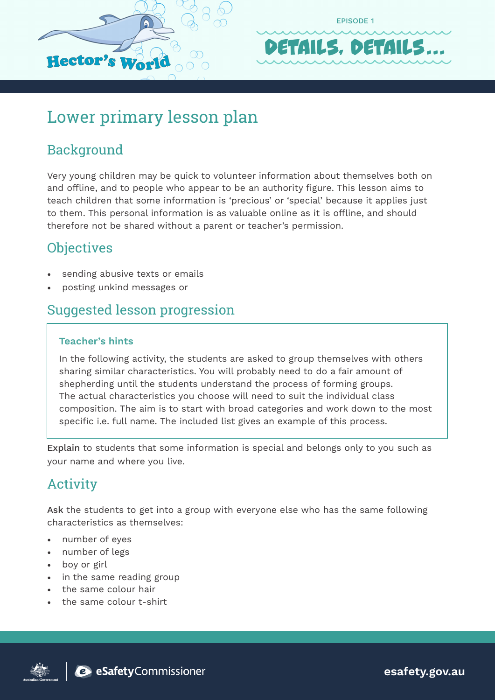



## Lower primary lesson plan

## Background

Very young children may be quick to volunteer information about themselves both on and offline, and to people who appear to be an authority figure. This lesson aims to teach children that some information is 'precious' or 'special' because it applies just to them. This personal information is as valuable online as it is offline, and should therefore not be shared without a parent or teacher's permission.

## **Objectives**

- sending abusive texts or emails
- posting unkind messages or

### Suggested lesson progression

#### **Teacher's hints**

In the following activity, the students are asked to group themselves with others sharing similar characteristics. You will probably need to do a fair amount of shepherding until the students understand the process of forming groups. The actual characteristics you choose will need to suit the individual class composition. The aim is to start with broad categories and work down to the most specific i.e. full name. The included list gives an example of this process.

Explain to students that some information is special and belongs only to you such as your name and where you live.

## Activity

Ask the students to get into a group with everyone else who has the same following characteristics as themselves:

- number of eyes
- number of legs
- boy or girl
- in the same reading group
- the same colour hair
- the same colour t-shirt





**esafety.gov.au**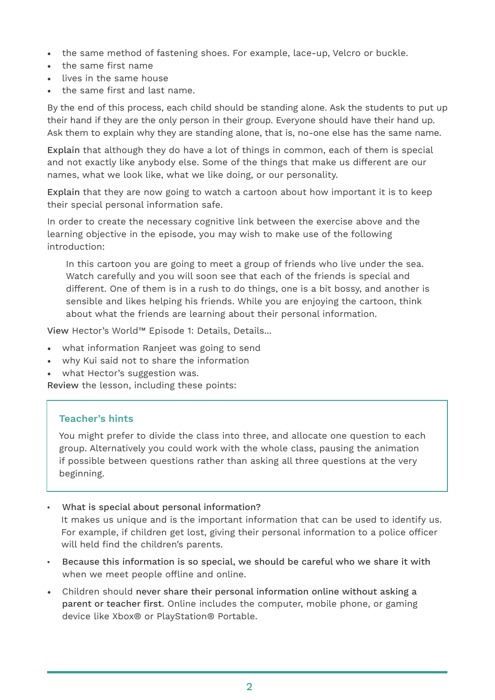- the same method of fastening shoes. For example, lace-up, Velcro or buckle.
- the same first name
- lives in the same house
- the same first and last name.

By the end of this process, each child should be standing alone. Ask the students to put up their hand if they are the only person in their group. Everyone should have their hand up. Ask them to explain why they are standing alone, that is, no-one else has the same name.

Explain that although they do have a lot of things in common, each of them is special and not exactly like anybody else. Some of the things that make us different are our names, what we look like, what we like doing, or our personality.

Explain that they are now going to watch a cartoon about how important it is to keep their special personal information safe.

In order to create the necessary cognitive link between the exercise above and the learning objective in the episode, you may wish to make use of the following introduction:

In this cartoon you are going to meet a group of friends who live under the sea. Watch carefully and you will soon see that each of the friends is special and different. One of them is in a rush to do things, one is a bit bossy, and another is sensible and likes helping his friends. While you are enjoying the cartoon, think about what the friends are learning about their personal information.

View Hector's World™ Episode 1: Details, Details...

- what information Ranjeet was going to send
- why Kui said not to share the information
- what Hector's suggestion was.

Review the lesson, including these points:

#### **Teacher's hints**

You might prefer to divide the class into three, and allocate one question to each group. Alternatively you could work with the whole class, pausing the animation if possible between questions rather than asking all three questions at the very beginning.

What is special about personal information?

It makes us unique and is the important information that can be used to identify us. For example, if children get lost, giving their personal information to a police officer will held find the children's parents.

- Because this information is so special, we should be careful who we share it with when we meet people offline and online.
- Children should never share their personal information online without asking a parent or teacher first. Online includes the computer, mobile phone, or gaming device like Xbox® or PlayStation® Portable.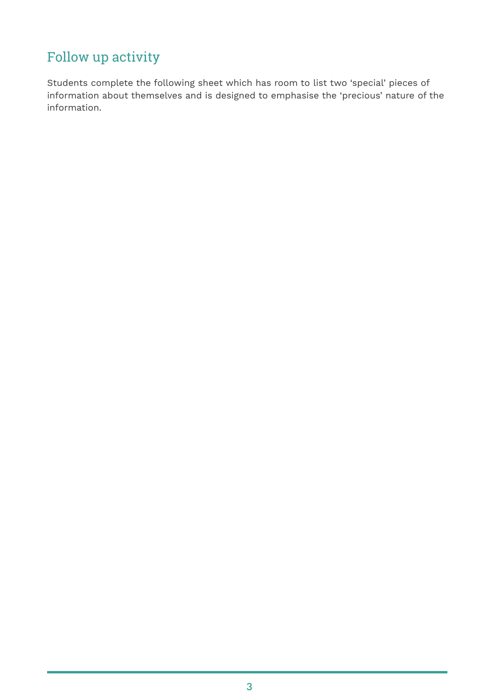## Follow up activity

Students complete the following sheet which has room to list two 'special' pieces of information about themselves and is designed to emphasise the 'precious' nature of the information.